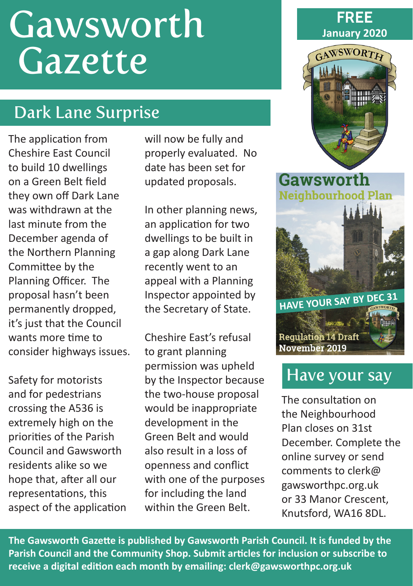# Gawsworth **Gazette**

# Dark Lane Surprise

The application from Cheshire East Council to build 10 dwellings on a Green Belt field they own off Dark Lane was withdrawn at the last minute from the December agenda of the Northern Planning Committee by the Planning Officer. The proposal hasn't been permanently dropped, it's just that the Council wants more time to consider highways issues.

Safety for motorists and for pedestrians crossing the A536 is extremely high on the priorities of the Parish Council and Gawsworth residents alike so we hope that, after all our representations, this aspect of the application will now be fully and properly evaluated. No date has been set for updated proposals.

In other planning news, an application for two dwellings to be built in a gap along Dark Lane recently went to an appeal with a Planning Inspector appointed by the Secretary of State.

Cheshire East's refusal to grant planning permission was upheld by the Inspector because the two-house proposal would be inappropriate development in the Green Belt and would also result in a loss of openness and conflict with one of the purposes for including the land within the Green Belt.





Gawsworth **Neighbourhood Plan** 



## Have your say

The consultation on the Neighbourhood Plan closes on 31st December. Complete the online survey or send comments to clerk@ gawsworthpc.org.uk or 33 Manor Crescent, Knutsford, WA16 8DL.

**The Gawsworth Gazette is published by Gawsworth Parish Council. It is funded by the Parish Council and the Community Shop. Submit articles for inclusion or subscribe to receive a digital edition each month by emailing: clerk@gawsworthpc.org.uk**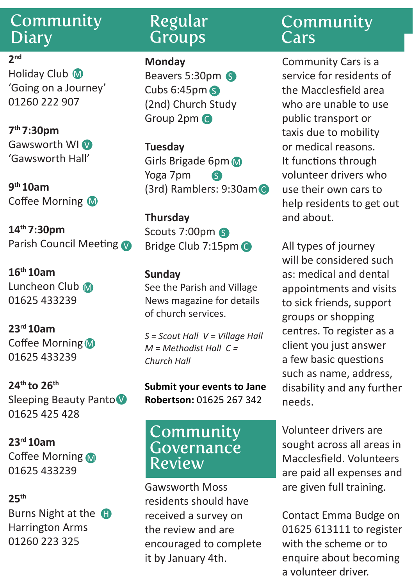## Community **Diary**

#### **2nd**

Holiday Club M 'Going on a Journey' 01260 222 907

**7th 7:30pm** Gawsworth WI<sup>V</sup> 'Gawsworth Hall'

**9th 10am** Coffee Morning M

**14th 7:30pm** Parish Council Meeting

**16th 10am** Luncheon Club M 01625 433239

**23rd 10am** Coffee Morning M 01625 433239

**24th to 26th**  Sleeping Beauty Panto V 01625 425 428

**23rd 10am** Coffee Morning 01625 433239

#### **25th**

Burns Night at the **G** Harrington Arms 01260 223 325

## Regular **Groups**

**Monday**

Beavers 5:30pm S Cubs 6:45pm S (2nd) Church Study Group 2pm C

**Tuesday** Girls Brigade 6pm Yoga 7pm (3rd) Ramblers: 9:30am C S

**Thursday** Scouts 7:00pm S Bridge Club 7:15pm C

#### **Sunday**

See the Parish and Village News magazine for details of church services.

*S = Scout Hall V = Village Hall M = Methodist Hall C = Church Hall*

**Submit your events to Jane Robertson:** 01625 267 342

#### Community Governance Review

Gawsworth Moss residents should have received a survey on the review and are encouraged to complete it by January 4th.

## Community **Cars**

Community Cars is a service for residents of the Macclesfield area who are unable to use public transport or taxis due to mobility or medical reasons. It functions through volunteer drivers who use their own cars to help residents to get out and about.

All types of journey will be considered such as: medical and dental appointments and visits to sick friends, support groups or shopping centres. To register as a client you just answer a few basic questions such as name, address, disability and any further needs.

Volunteer drivers are sought across all areas in Macclesfield. Volunteers are paid all expenses and are given full training.

Contact Emma Budge on 01625 613111 to register with the scheme or to enquire about becoming a volunteer driver.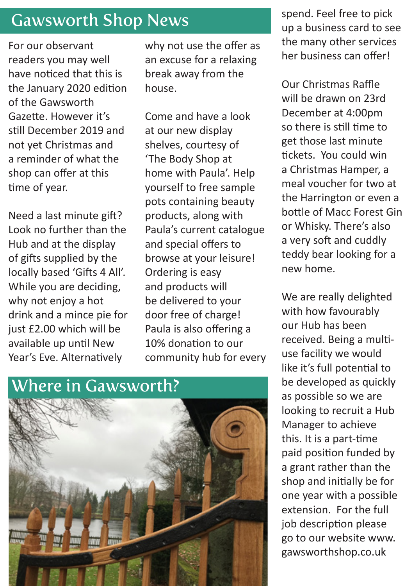## Gawsworth Shop News

For our observant readers you may well have noticed that this is the January 2020 edition of the Gawsworth Gazette. However it's still December 2019 and not yet Christmas and a reminder of what the shop can offer at this time of year.

Need a last minute gift? Look no further than the Hub and at the display of gifts supplied by the locally based 'Gifts 4 All'. While you are deciding, why not enjoy a hot drink and a mince pie for just £2.00 which will be available up until New Year's Eve. Alternatively

why not use the offer as an excuse for a relaxing break away from the house.

Come and have a look at our new display shelves, courtesy of 'The Body Shop at home with Paula'. Help yourself to free sample pots containing beauty products, along with Paula's current catalogue and special offers to browse at your leisure! Ordering is easy and products will be delivered to your door free of charge! Paula is also offering a 10% donation to our community hub for every

## Where in Gawsworth?



spend. Feel free to pick up a business card to see the many other services her business can offer!

Our Christmas Raffle will be drawn on 23rd December at 4:00pm so there is still time to get those last minute tickets. You could win a Christmas Hamper, a meal voucher for two at the Harrington or even a bottle of Macc Forest Gin or Whisky. There's also a very soft and cuddly teddy bear looking for a new home.

We are really delighted with how favourably our Hub has been received. Being a multiuse facility we would like it's full potential to be developed as quickly as possible so we are looking to recruit a Hub Manager to achieve this. It is a part-time paid position funded by a grant rather than the shop and initially be for one year with a possible extension. For the full job description please go to our website www. gawsworthshop.co.uk